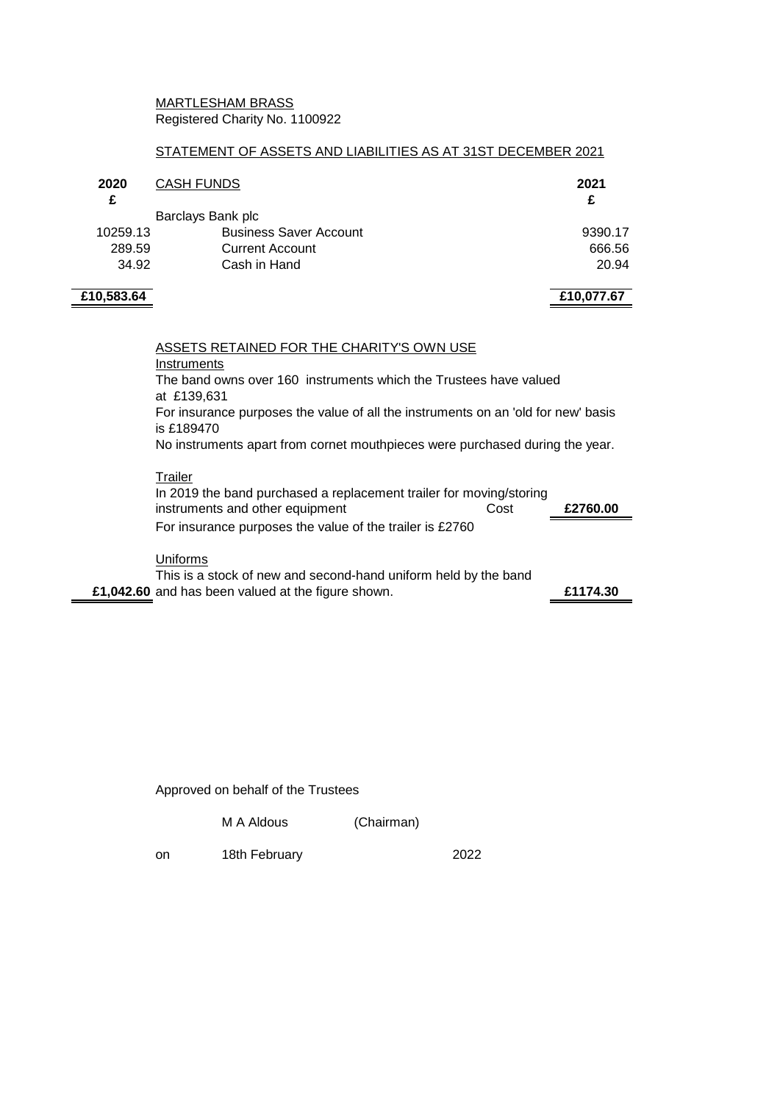### MARTLESHAM BRASS Registered Charity No. 1100922

#### STATEMENT OF ASSETS AND LIABILITIES AS AT 31ST DECEMBER 2021

| <b>CASH FUNDS</b><br>2020 |                               | 2021       |  |
|---------------------------|-------------------------------|------------|--|
| £                         |                               | £          |  |
|                           | Barclays Bank plc             |            |  |
| 10259.13                  | <b>Business Saver Account</b> | 9390.17    |  |
| 289.59                    | <b>Current Account</b>        | 666.56     |  |
| 34.92                     | Cash in Hand                  | 20.94      |  |
| £10,583.64                |                               | £10,077.67 |  |

ASSETS RETAINED FOR THE CHARITY'S OWN USE Instruments The band owns over 160 instruments which the Trustees have valued at £139,631 For insurance purposes the value of all the instruments on an 'old for new' basis is £189470 No instruments apart from cornet mouthpieces were purchased during the year. **Trailer** In 2019 the band purchased a replacement trailer for moving/storing

instruments and other equipment Cost **£2760.00** For insurance purposes the value of the trailer is £2760 **Uniforms** This is a stock of new and second-hand uniform held by the band **£1,042.60** and has been valued at the figure shown. **£1174.30**

Approved on behalf of the Trustees

M A Aldous (Chairman)

on 18th February 2022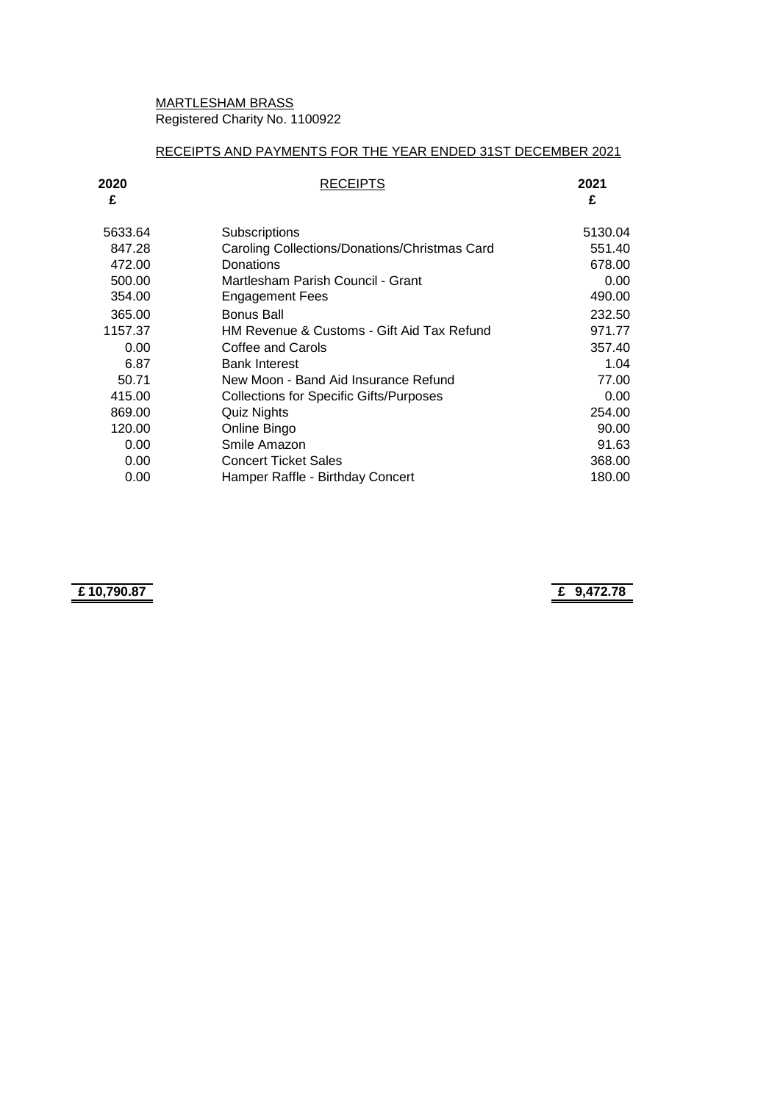# MARTLESHAM BRASS Registered Charity No. 1100922

## RECEIPTS AND PAYMENTS FOR THE YEAR ENDED 31ST DECEMBER 2021

| 2020<br>£ | <b>RECEIPTS</b>                               | 2021<br>£ |
|-----------|-----------------------------------------------|-----------|
| 5633.64   | Subscriptions                                 | 5130.04   |
| 847.28    | Caroling Collections/Donations/Christmas Card | 551.40    |
| 472.00    | Donations                                     | 678.00    |
| 500.00    | Martlesham Parish Council - Grant             | 0.00      |
| 354.00    | Engagement Fees                               | 490.00    |
| 365.00    | <b>Bonus Ball</b>                             | 232.50    |
| 1157.37   | HM Revenue & Customs - Gift Aid Tax Refund    | 971.77    |
| 0.00      | Coffee and Carols                             | 357.40    |
| 6.87      | <b>Bank Interest</b>                          | 1.04      |
| 50.71     | New Moon - Band Aid Insurance Refund          | 77.00     |
| 415.00    | Collections for Specific Gifts/Purposes       | 0.00      |
| 869.00    | Quiz Nights                                   | 254.00    |
| 120.00    | Online Bingo                                  | 90.00     |
| 0.00      | Smile Amazon                                  | 91.63     |
| 0.00      | <b>Concert Ticket Sales</b>                   | 368.00    |
| 0.00      | Hamper Raffle - Birthday Concert              | 180.00    |

**£ 10,790.87 £ 9,472.78**